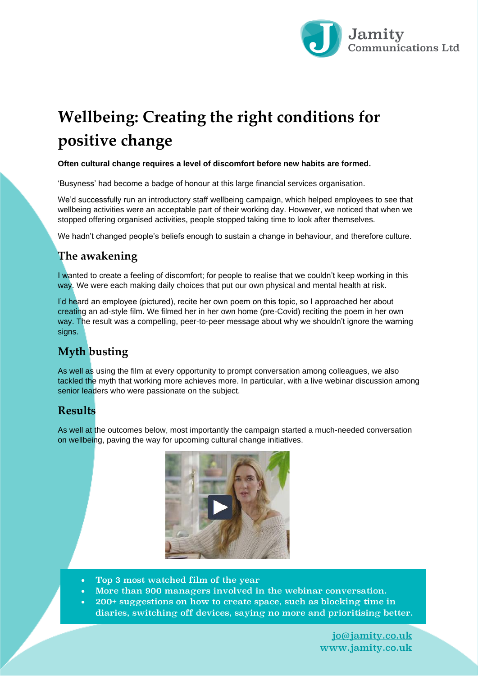

# **Wellbeing: Creating the right conditions for positive change**

#### **Often cultural change requires a level of discomfort before new habits are formed.**

'Busyness' had become a badge of honour at this large financial services organisation.

We'd successfully run an introductory staff wellbeing campaign, which helped employees to see that wellbeing activities were an acceptable part of their working day. However, we noticed that when we stopped offering organised activities, people stopped taking time to look after themselves.

We hadn't changed people's beliefs enough to sustain a change in behaviour, and therefore culture.

## **The awakening**

I wanted to create a feeling of discomfort; for people to realise that we couldn't keep working in this way. We were each making daily choices that put our own physical and mental health at risk.

I'd heard an employee (pictured), recite her own poem on this topic, so I approached her about creating an ad-style film. We filmed her in her own home (pre-Covid) reciting the poem in her own way. The result was a compelling, peer-to-peer message about why we shouldn't ignore the warning signs.

# **Myth busting**

As well as using the film at every opportunity to prompt conversation among colleagues, we also tackled the myth that working more achieves more. In particular, with a live webinar discussion among senior leaders who were passionate on the subject.

### **Results**

As well at the outcomes below, most importantly the campaign started a much-needed conversation on wellbeing, paving the way for upcoming cultural change initiatives.



- Top 3 most watched film of the year
- More than 900 managers involved in the webinar conversation.
- 200+ suggestions on how to create space, such as blocking time in diaries, switching off devices, saying no more and prioritising better.

[jo@jamity.co.uk](mailto:jo@jamity.co.uk) www.jamity.co.uk